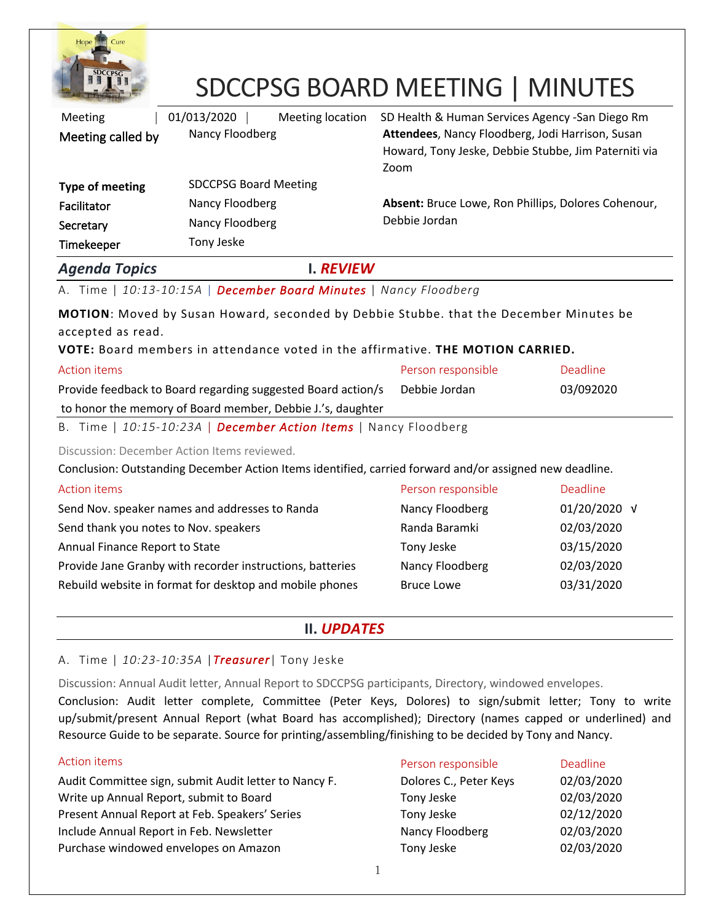

# SDCCPSG BOARD MEETING | MINUTES

| Meeting              | 01/013/2020                  | Meeting location | SD Health & Human Services Agency - San Diego Rm                                                                 |
|----------------------|------------------------------|------------------|------------------------------------------------------------------------------------------------------------------|
| Meeting called by    | Nancy Floodberg              |                  | Attendees, Nancy Floodberg, Jodi Harrison, Susan<br>Howard, Tony Jeske, Debbie Stubbe, Jim Paterniti via<br>Zoom |
| Type of meeting      | <b>SDCCPSG Board Meeting</b> |                  |                                                                                                                  |
| Facilitator          | Nancy Floodberg              |                  | Absent: Bruce Lowe, Ron Phillips, Dolores Cohenour,                                                              |
| Secretary            | Nancy Floodberg              |                  | Debbie Jordan                                                                                                    |
| Timekeeper           | Tony Jeske                   |                  |                                                                                                                  |
| <b>Agenda Topics</b> |                              | I. REVIEW        |                                                                                                                  |

A. Time | *10:13-10:15A* | *December Board Minutes* | *Nancy Floodberg*

**MOTION**: Moved by Susan Howard, seconded by Debbie Stubbe. that the December Minutes be accepted as read.

**VOTE:** Board members in attendance voted in the affirmative. **THE MOTION CARRIED.**

| Action items                                                 | Person responsible | Deadline  |
|--------------------------------------------------------------|--------------------|-----------|
| Provide feedback to Board regarding suggested Board action/s | Debbie Jordan      | 03/092020 |
| to honor the memory of Board member, Debbie J.'s, daughter   |                    |           |
|                                                              |                    |           |

B. Time | *10:15-10:23A* | *December Action Items* | Nancy Floodberg

Discussion: December Action Items reviewed.

Conclusion: Outstanding December Action Items identified, carried forward and/or assigned new deadline.

| Action items                                              | Person responsible | Deadline     |
|-----------------------------------------------------------|--------------------|--------------|
| Send Nov. speaker names and addresses to Randa            | Nancy Floodberg    | 01/20/2020 √ |
| Send thank you notes to Nov. speakers                     | Randa Baramki      | 02/03/2020   |
| Annual Finance Report to State                            | Tony Jeske         | 03/15/2020   |
| Provide Jane Granby with recorder instructions, batteries | Nancy Floodberg    | 02/03/2020   |
| Rebuild website in format for desktop and mobile phones   | <b>Bruce Lowe</b>  | 03/31/2020   |

## **II.** *UPDATES*

### A. Time | *10:23-10:35A* |*Treasurer*| Tony Jeske

Discussion: Annual Audit letter, Annual Report to SDCCPSG participants, Directory, windowed envelopes.

Conclusion: Audit letter complete, Committee (Peter Keys, Dolores) to sign/submit letter; Tony to write up/submit/present Annual Report (what Board has accomplished); Directory (names capped or underlined) and Resource Guide to be separate. Source for printing/assembling/finishing to be decided by Tony and Nancy.

| Action items                                          | Person responsible     | <b>Deadline</b> |
|-------------------------------------------------------|------------------------|-----------------|
| Audit Committee sign, submit Audit letter to Nancy F. | Dolores C., Peter Keys | 02/03/2020      |
| Write up Annual Report, submit to Board               | Tony Jeske             | 02/03/2020      |
| Present Annual Report at Feb. Speakers' Series        | Tony Jeske             | 02/12/2020      |
| Include Annual Report in Feb. Newsletter              | Nancy Floodberg        | 02/03/2020      |
| Purchase windowed envelopes on Amazon                 | Tony Jeske             | 02/03/2020      |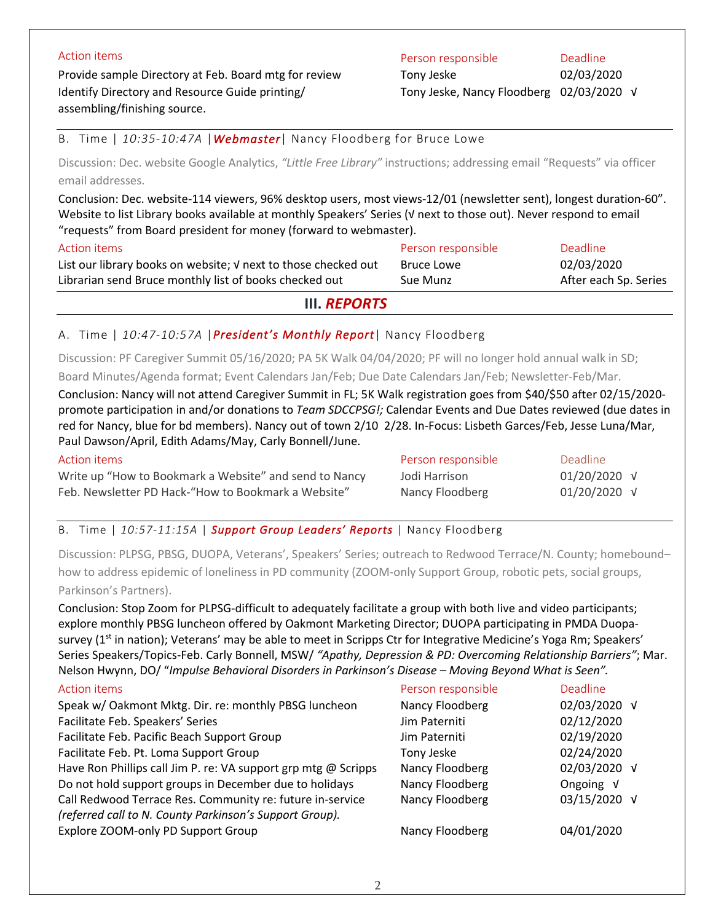Provide sample Directory at Feb. Board mtg for review Identify Directory and Resource Guide printing/ assembling/finishing source.

### Action items **Person responsible Person responsible Person responsible Person responsible**

Tony Jeske Tony Jeske, Nancy Floodberg 02/03/2020 √

02/03/2020

B. Time | *10:35-10:47A* |*Webmaster*| Nancy Floodberg for Bruce Lowe

Discussion: Dec. website Google Analytics, *"Little Free Library"* instructions; addressing email "Requests" via officer email addresses.

Conclusion: Dec. website-114 viewers, 96% desktop users, most views-12/01 (newsletter sent), longest duration-60". Website to list Library books available at monthly Speakers' Series (√ next to those out). Never respond to email "requests" from Board president for money (forward to webmaster).

| Action items                                                   | Person responsible | Deadline              |
|----------------------------------------------------------------|--------------------|-----------------------|
| List our library books on website; V next to those checked out | Bruce Lowe         | 02/03/2020            |
| Librarian send Bruce monthly list of books checked out         | Sue Munz           | After each Sp. Series |
|                                                                |                    |                       |

**III.** *REPORTS*

#### A. Time | *10:47-10:57A* |*President's Monthly Report*| Nancy Floodberg

Discussion: PF Caregiver Summit 05/16/2020; PA 5K Walk 04/04/2020; PF will no longer hold annual walk in SD; Board Minutes/Agenda format; Event Calendars Jan/Feb; Due Date Calendars Jan/Feb; Newsletter-Feb/Mar.

Conclusion: Nancy will not attend Caregiver Summit in FL; 5K Walk registration goes from \$40/\$50 after 02/15/2020 promote participation in and/or donations to *Team SDCCPSG!;* Calendar Events and Due Dates reviewed (due dates in red for Nancy, blue for bd members). Nancy out of town 2/10 2/28. In-Focus: Lisbeth Garces/Feb, Jesse Luna/Mar, Paul Dawson/April, Edith Adams/May, Carly Bonnell/June.

| Action items                                           | Person responsible | Deadline         |
|--------------------------------------------------------|--------------------|------------------|
| Write up "How to Bookmark a Website" and send to Nancy | Jodi Harrison      | $01/20/2020$ $V$ |
| Feb. Newsletter PD Hack-"How to Bookmark a Website"    | Nancy Floodberg    | $01/20/2020$ $V$ |
|                                                        |                    |                  |

#### B. Time | *10:57-11:15A* | *Support Group Leaders' Reports* | Nancy Floodberg

Discussion: PLPSG, PBSG, DUOPA, Veterans', Speakers' Series; outreach to Redwood Terrace/N. County; homebound– how to address epidemic of loneliness in PD community (ZOOM-only Support Group, robotic pets, social groups, Parkinson's Partners).

Conclusion: Stop Zoom for PLPSG-difficult to adequately facilitate a group with both live and video participants; explore monthly PBSG luncheon offered by Oakmont Marketing Director; DUOPA participating in PMDA Duopasurvey (1<sup>st</sup> in nation); Veterans' may be able to meet in Scripps Ctr for Integrative Medicine's Yoga Rm; Speakers' Series Speakers/Topics-Feb. Carly Bonnell, MSW/ *"Apathy, Depression & PD: Overcoming Relationship Barriers"*; Mar. Nelson Hwynn, DO/ "*Impulse Behavioral Disorders in Parkinson's Disease – Moving Beyond What is Seen".*

| Action items                                                                                                         | Person responsible | Deadline     |
|----------------------------------------------------------------------------------------------------------------------|--------------------|--------------|
| Speak w/ Oakmont Mktg. Dir. re: monthly PBSG luncheon                                                                | Nancy Floodberg    | 02/03/2020 √ |
| Facilitate Feb. Speakers' Series                                                                                     | Jim Paterniti      | 02/12/2020   |
| Facilitate Feb. Pacific Beach Support Group                                                                          | Jim Paterniti      | 02/19/2020   |
| Facilitate Feb. Pt. Loma Support Group                                                                               | Tony Jeske         | 02/24/2020   |
| Have Ron Phillips call Jim P. re: VA support grp mtg @ Scripps                                                       | Nancy Floodberg    | 02/03/2020 √ |
| Do not hold support groups in December due to holidays                                                               | Nancy Floodberg    | Ongoing V    |
| Call Redwood Terrace Res. Community re: future in-service<br>(referred call to N. County Parkinson's Support Group). | Nancy Floodberg    | 03/15/2020 √ |
| Explore ZOOM-only PD Support Group                                                                                   | Nancy Floodberg    | 04/01/2020   |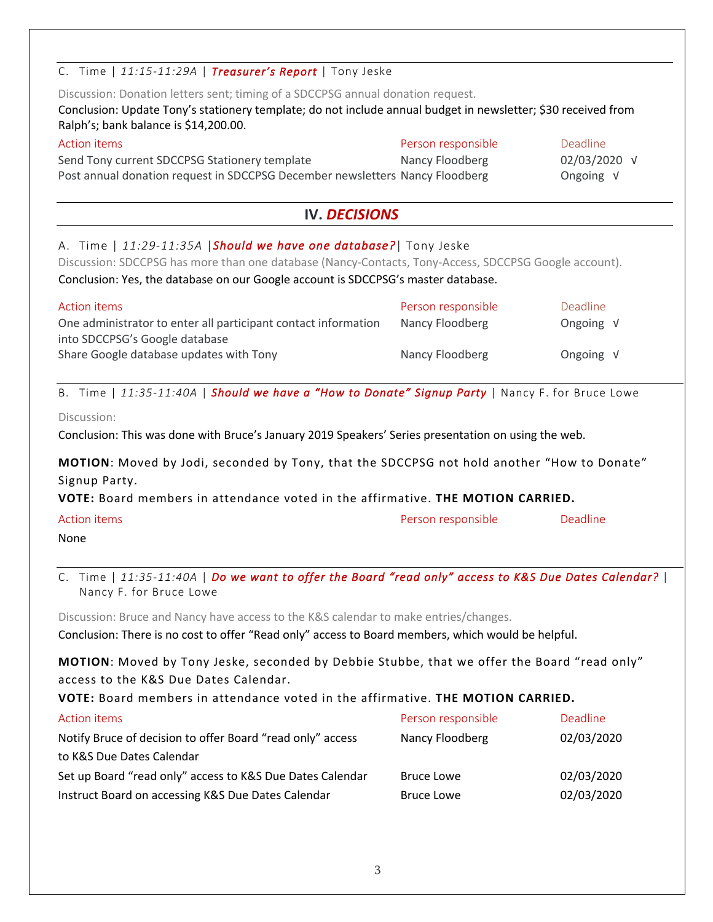# C. Time | *11:15-11:29A* | *Treasurer's Report* | Tony Jeske Discussion: Donation letters sent; timing of a SDCCPSG annual donation request. Conclusion: Update Tony's stationery template; do not include annual budget in newsletter; \$30 received from Ralph's; bank balance is \$14,200.00. Action items **Person responsible** Person responsible **Person responsible** Deadline Send Tony current SDCCPSG Stationery template Post annual donation request in SDCCPSG December newsletters Nancy Floodberg Nancy Floodberg 02/03/2020 √ Ongoing √ **IV.** *DECISIONS* A. Time | *11:29-11:35A* |*Should we have one database?*| Tony Jeske Discussion: SDCCPSG has more than one database (Nancy-Contacts, Tony-Access, SDCCPSG Google account). Conclusion: Yes, the database on our Google account is SDCCPSG's master database. Action items **Person responsible** Person responsible **Person responsible** Deadline One administrator to enter all participant contact information into SDCCPSG's Google database Share Google database updates with Tony Nancy Floodberg Nancy Floodberg Ongoing √ Ongoing √ B. Time | *11:35-11:40A* | *Should we have a "How to Donate" Signup Party* | Nancy F. for Bruce Lowe Discussion: Conclusion: This was done with Bruce's January 2019 Speakers' Series presentation on using the web. **MOTION**: Moved by Jodi, seconded by Tony, that the SDCCPSG not hold another "How to Donate" Signup Party. **VOTE:** Board members in attendance voted in the affirmative. **THE MOTION CARRIED.** C. Time | *11:35-11:40A* | *Do we want to offer the Board "read only" access to K&S Due Dates Calendar?* | Nancy F. for Bruce Lowe Discussion: Bruce and Nancy have access to the K&S calendar to make entries/changes. Conclusion: There is no cost to offer "Read only" access to Board members, which would be helpful. **MOTION**: Moved by Tony Jeske, seconded by Debbie Stubbe, that we offer the Board "read only" Action items **Person responsible Person responsible Person responsible Deadline** None

access to the K&S Due Dates Calendar.

**VOTE:** Board members in attendance voted in the affirmative. **THE MOTION CARRIED.**

| Action items                                               | Person responsible | <b>Deadline</b> |
|------------------------------------------------------------|--------------------|-----------------|
| Notify Bruce of decision to offer Board "read only" access | Nancy Floodberg    | 02/03/2020      |
| to K&S Due Dates Calendar                                  |                    |                 |
| Set up Board "read only" access to K&S Due Dates Calendar  | <b>Bruce Lowe</b>  | 02/03/2020      |
| Instruct Board on accessing K&S Due Dates Calendar         | <b>Bruce Lowe</b>  | 02/03/2020      |